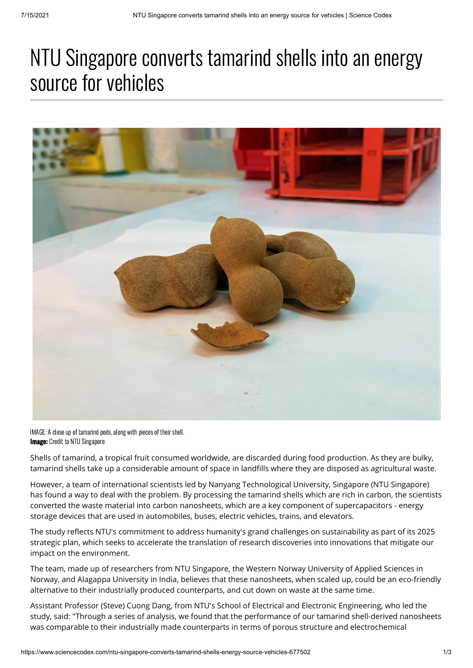## NTU Singapore converts tamarind shells into an energy source for vehicles



**Image:** Credit to NTU Singapore IMAGE: A close up of tamarind pods, along with pieces of their shell.

Shells of tamarind, a tropical fruit consumed worldwide, are discarded during food production. As they are bulky, tamarind shells take up a considerable amount of space in landfills where they are disposed as agricultural waste.

However, a team of international scientists led by Nanyang Technological University, Singapore (NTU Singapore) has found a way to deal with the problem. By processing the tamarind shells which are rich in carbon, the scientists converted the waste material into carbon nanosheets, which are a key component of supercapacitors - energy storage devices that are used in automobiles, buses, electric vehicles, trains, and elevators.

The study reflects NTU's commitment to address humanity's grand challenges on sustainability as part of its 2025 strategic plan, which seeks to accelerate the translation of research discoveries into innovations that mitigate our impact on the environment.

The team, made up of researchers from NTU Singapore, the Western Norway University of Applied Sciences in Norway, and Alagappa University in India, believes that these nanosheets, when scaled up, could be an eco-friendly alternative to their industrially produced counterparts, and cut down on waste at the same time.

Assistant Professor (Steve) Cuong Dang, from NTU's School of Electrical and Electronic Engineering, who led the study, said: "Through a series of analysis, we found that the performance of our tamarind shell-derived nanosheets was comparable to their industrially made counterparts in terms of porous structure and electrochemical